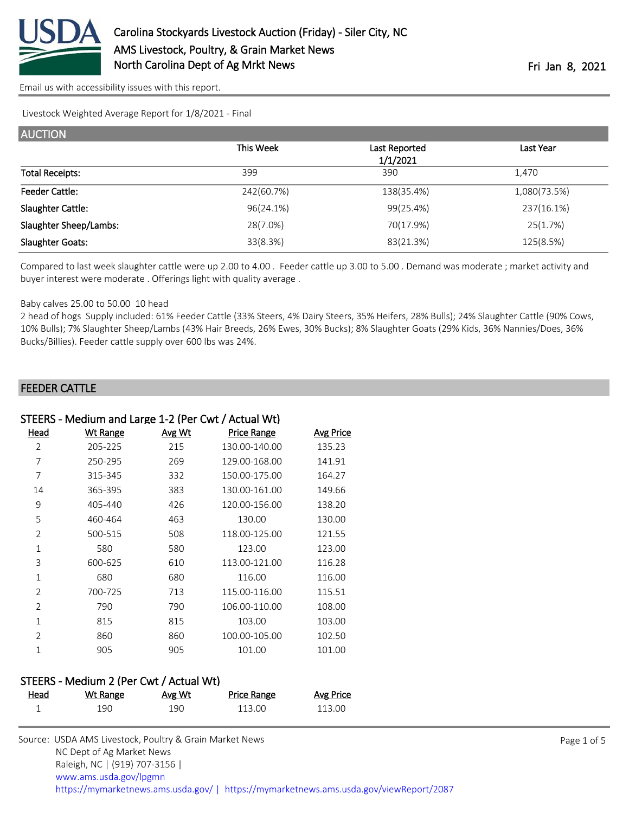

Livestock Weighted Average Report for 1/8/2021 - Final

| <b>AUCTION</b>                |            |                           |              |
|-------------------------------|------------|---------------------------|--------------|
|                               | This Week  | Last Reported<br>1/1/2021 | Last Year    |
| <b>Total Receipts:</b>        | 399        | 390                       | 1,470        |
| <b>Feeder Cattle:</b>         | 242(60.7%) | 138(35.4%)                | 1,080(73.5%) |
| Slaughter Cattle:             | 96(24.1%)  | 99(25.4%)                 | 237(16.1%)   |
| <b>Slaughter Sheep/Lambs:</b> | 28(7.0%)   | 70(17.9%)                 | 25(1.7%)     |
| <b>Slaughter Goats:</b>       | 33(8.3%)   | 83(21.3%)                 | 125(8.5%)    |

Compared to last week slaughter cattle were up 2.00 to 4.00 . Feeder cattle up 3.00 to 5.00 . Demand was moderate ; market activity and buyer interest were moderate . Offerings light with quality average .

#### Baby calves 25.00 to 50.00 10 head

2 head of hogs Supply included: 61% Feeder Cattle (33% Steers, 4% Dairy Steers, 35% Heifers, 28% Bulls); 24% Slaughter Cattle (90% Cows, 10% Bulls); 7% Slaughter Sheep/Lambs (43% Hair Breeds, 26% Ewes, 30% Bucks); 8% Slaughter Goats (29% Kids, 36% Nannies/Does, 36% Bucks/Billies). Feeder cattle supply over 600 lbs was 24%.

#### FEEDER CATTLE

| STEERS - Medium and Large 1-2 (Per Cwt / Actual Wt) |          |        |                    |           |
|-----------------------------------------------------|----------|--------|--------------------|-----------|
| Head                                                | Wt Range | Avg Wt | <b>Price Range</b> | Avg Price |
| 2                                                   | 205-225  | 215    | 130.00-140.00      | 135.23    |
| 7                                                   | 250-295  | 269    | 129.00-168.00      | 141.91    |
| 7                                                   | 315-345  | 332    | 150.00-175.00      | 164.27    |
| 14                                                  | 365-395  | 383    | 130.00-161.00      | 149.66    |
| 9                                                   | 405-440  | 426    | 120.00-156.00      | 138.20    |
| 5                                                   | 460-464  | 463    | 130.00             | 130.00    |
| $\overline{2}$                                      | 500-515  | 508    | 118.00-125.00      | 121.55    |
| $\mathbf{1}$                                        | 580      | 580    | 123.00             | 123.00    |
| 3                                                   | 600-625  | 610    | 113.00-121.00      | 116.28    |
| $\mathbf{1}$                                        | 680      | 680    | 116.00             | 116.00    |
| $\overline{2}$                                      | 700-725  | 713    | 115.00-116.00      | 115.51    |
| $\overline{2}$                                      | 790      | 790    | 106.00-110.00      | 108.00    |
| $\mathbf{1}$                                        | 815      | 815    | 103.00             | 103.00    |
| $\overline{2}$                                      | 860      | 860    | 100.00-105.00      | 102.50    |
| 1                                                   | 905      | 905    | 101.00             | 101.00    |
|                                                     |          |        |                    |           |

## STEERS - Medium 2 (Per Cwt / Actual Wt)

| <u>Head</u> | Wt Range | <u>Avg Wt</u> | Price Range | <b>Avg Price</b> |
|-------------|----------|---------------|-------------|------------------|
|             | 190      | 190           | 113.00      | 113.00           |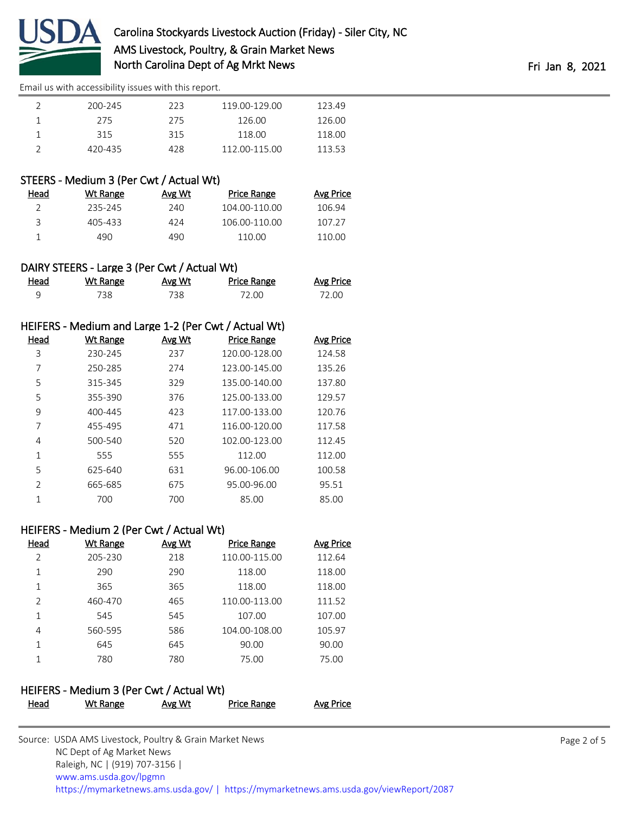

| 200-245 | 223 | 119.00-129.00 | 123.49 |
|---------|-----|---------------|--------|
| 275     | 275 | 126.00        | 126.00 |
| 315     | 315 | 118.00        | 118.00 |
| 420-435 | 428 | 112.00-115.00 | 113.53 |

### STEERS - Medium 3 (Per Cwt / Actual Wt)

| Head | Wt Range | Avg Wt | Price Range   | <b>Avg Price</b> |
|------|----------|--------|---------------|------------------|
|      | 235-245  | 240    | 104.00-110.00 | 106.94           |
| ₹    | 405-433  | 424    | 106.00-110.00 | 107.27           |
|      | 490.     | 490    | 110.00        | 110.00           |

### DAIRY STEERS - Large 3 (Per Cwt / Actual Wt)

| Head | Wt Range | Avg Wt | Price Range | <b>Avg Price</b> |
|------|----------|--------|-------------|------------------|
|      | 738 -    | 738    | 72.00       | 72.00            |

### HEIFERS - Medium and Large 1-2 (Per Cwt / Actual Wt)

| Head          | <b>Wt Range</b> | Avg Wt | <b>Price Range</b> | <b>Avg Price</b> |
|---------------|-----------------|--------|--------------------|------------------|
| 3             | 230-245         | 237    | 120.00-128.00      | 124.58           |
| 7             | 250-285         | 274    | 123.00-145.00      | 135.26           |
| 5             | 315-345         | 329    | 135.00-140.00      | 137.80           |
| 5             | 355-390         | 376    | 125.00-133.00      | 129.57           |
| 9             | 400-445         | 423    | 117.00-133.00      | 120.76           |
| 7             | 455-495         | 471    | 116.00-120.00      | 117.58           |
| 4             | 500-540         | 520    | 102.00-123.00      | 112.45           |
| 1             | 555             | 555    | 112.00             | 112.00           |
| 5             | 625-640         | 631    | 96.00-106.00       | 100.58           |
| $\mathcal{P}$ | 665-685         | 675    | 95.00-96.00        | 95.51            |
| 1             | 700             | 700    | 85.00              | 85.00            |

#### HEIFERS - Medium 2 (Per Cwt / Actual Wt)

| Head           | Wt Range | Avg Wt | <b>Price Range</b> | <b>Avg Price</b> |
|----------------|----------|--------|--------------------|------------------|
| $\mathcal{P}$  | 205-230  | 218    | 110.00-115.00      | 112.64           |
| 1              | 290      | 290    | 118.00             | 118.00           |
| 1              | 365      | 365    | 118.00             | 118.00           |
| $\mathfrak{D}$ | 460-470  | 465    | 110.00-113.00      | 111.52           |
| 1              | 545      | 545    | 107.00             | 107.00           |
| 4              | 560-595  | 586    | 104.00-108.00      | 105.97           |
|                | 645      | 645    | 90.00              | 90.00            |
|                | 780      | 780    | 75.00              | 75.00            |

#### HEIFERS - Medium 3 (Per Cwt / Actual Wt)

| Head | <u>Wt Range</u> | <u>Avg Wt</u> | <b>Price Range</b> | <b>Avg Price</b> |
|------|-----------------|---------------|--------------------|------------------|
|      |                 |               |                    |                  |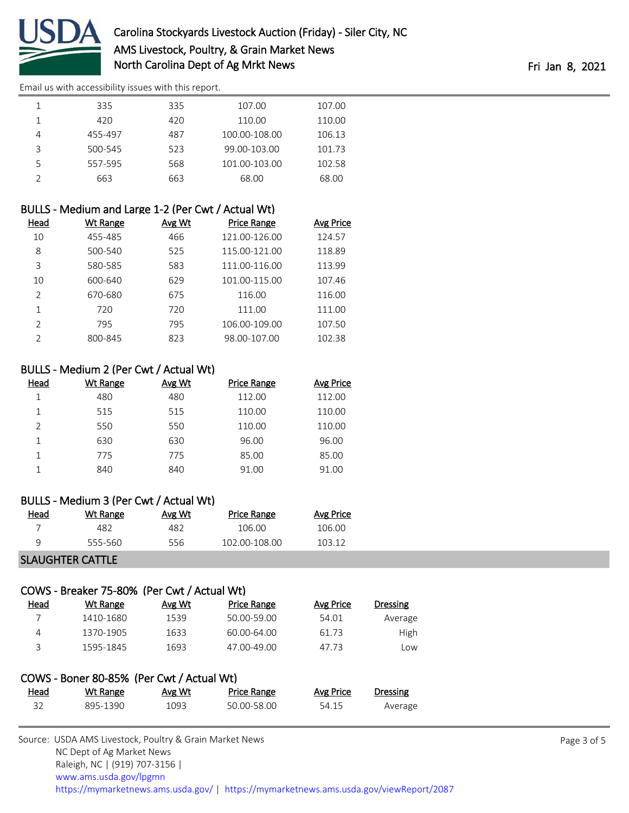

|   | 335     | 335 | 107.00        | 107.00 |
|---|---------|-----|---------------|--------|
|   | 420     | 420 | 110.00        | 110.00 |
|   | 455-497 | 487 | 100.00-108.00 | 106.13 |
| 3 | 500-545 | 523 | 99.00-103.00  | 101.73 |
|   | 557-595 | 568 | 101.00-103.00 | 102.58 |
|   | 663     | 663 | 68.00         | 68.00  |

| BULLS - Medium and Large 1-2 (Per Cwt / Actual Wt) |          |               |                    |           |
|----------------------------------------------------|----------|---------------|--------------------|-----------|
| Head                                               | Wt Range | <b>Avg Wt</b> | <b>Price Range</b> | Avg Price |
| 10                                                 | 455-485  | 466           | 121.00-126.00      | 124.57    |
| 8                                                  | 500-540  | 525           | 115.00-121.00      | 118.89    |
| 3                                                  | 580-585  | 583           | 111.00-116.00      | 113.99    |
| 10                                                 | 600-640  | 629           | 101.00-115.00      | 107.46    |
| $\mathfrak{D}$                                     | 670-680  | 675           | 116.00             | 116.00    |
| 1                                                  | 720      | 720           | 111.00             | 111.00    |
| $\mathfrak{D}$                                     | 795      | 795           | 106.00-109.00      | 107.50    |
| $\mathcal{P}$                                      | 800-845  | 823           | 98.00-107.00       | 102.38    |

#### BULLS - Medium 2 (Per Cwt / Actual Wt)

| Head          | Wt Range | Avg Wt | Price Range | Avg Price |
|---------------|----------|--------|-------------|-----------|
|               | 480      | 480    | 112.00      | 112.00    |
|               | 515      | 515    | 110.00      | 110.00    |
| $\mathcal{P}$ | 550      | 550    | 110.00      | 110.00    |
|               | 630      | 630    | 96.00       | 96.00     |
|               | 775      | 775    | 85.00       | 85.00     |
|               | 840      | 840    | 91.00       | 91.00     |

#### BULLS - Medium 3 (Per Cwt / Actual Wt)

| Head | Wt Range | Avg Wt | Price Range   | Avg Price |
|------|----------|--------|---------------|-----------|
|      | 482      | 482    | 106.00        | 106.00    |
| a    | 555-560  | 556    | 102.00-108.00 | 103 12    |
|      |          |        |               |           |

### SLAUGHTER CATTLE

## COWS - Breaker 75-80% (Per Cwt / Actual Wt)

| Head | Wt Range  | Avg Wt | Price Range | Avg Price | <b>Dressing</b> |
|------|-----------|--------|-------------|-----------|-----------------|
|      | 1410-1680 | 1539   | 50.00-59.00 | 54.01     | Average         |
| 4    | 1370-1905 | 1633   | 60.00-64.00 | 61.73     | <b>High</b>     |
| २    | 1595-1845 | 1693   | 47.00-49.00 | 47.73     | LOW             |

|      | COWS - Boner 80-85% (Per Cwt / Actual Wt) |        |             |           |          |
|------|-------------------------------------------|--------|-------------|-----------|----------|
| Head | Wt Range                                  | Avg Wt | Price Range | Avg Price | Dressing |
| 32   | 895-1390                                  | 1093   | 50.00-58.00 | 54.15     | Average  |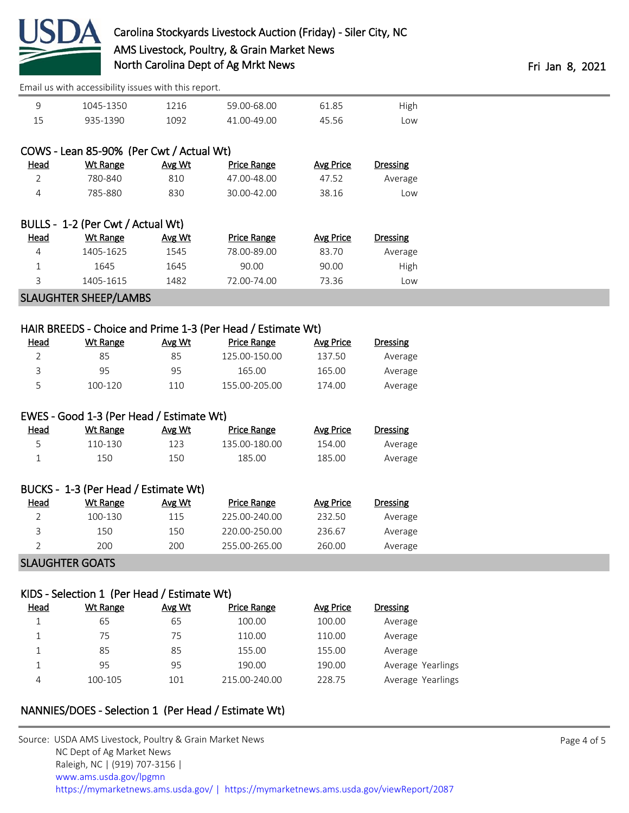

| 1045-1350 | ີາ16 | 59.00-68.00 | 31 O.E | High |
|-----------|------|-------------|--------|------|
| 935-1390  | ng?  | .00-49.00   |        | .ow  |

|             | COWS - Lean 85-90% (Per Cwt / Actual Wt) |        |                    |                  |                 |
|-------------|------------------------------------------|--------|--------------------|------------------|-----------------|
| Head        | Wt Range                                 | Avg Wt | Price Range        | <b>Avg Price</b> | <b>Dressing</b> |
| 2           | 780-840                                  | 810    | 47.00-48.00        | 47.52            | Average         |
| 4           | 785-880                                  | 830    | 30.00-42.00        | 38.16            | Low             |
|             | BULLS - 1-2 (Per Cwt / Actual Wt)        |        |                    |                  |                 |
| <b>Head</b> | Wt Range                                 | Avg Wt | <b>Price Range</b> | Avg Price        | <b>Dressing</b> |
| 4           | 1405-1625                                | 1545   | 78.00-89.00        | 83.70            | Average         |
| 1           | 1645                                     | 1645   | 90.00              | 90.00            | High            |
| 3           | 1405-1615                                | 1482   | 72.00-74.00        | 73.36            | Low             |

# SLAUGHTER SHEEP/LAMBS

|                |                                          |               | HAIR BREEDS - Choice and Prime 1-3 (Per Head / Estimate Wt) |                  |                 |
|----------------|------------------------------------------|---------------|-------------------------------------------------------------|------------------|-----------------|
| Head           | <u>Wt Range</u>                          | <u>Avg Wt</u> | <b>Price Range</b>                                          | <b>Avg Price</b> | <b>Dressing</b> |
| 2              | 85                                       | 85            | 125.00-150.00                                               | 137.50           | Average         |
| 3              | 95                                       | 95            | 165.00                                                      | 165.00           | Average         |
| 5              | 100-120                                  | 110           | 155.00-205.00                                               | 174.00           | Average         |
|                |                                          |               |                                                             |                  |                 |
|                | EWES - Good 1-3 (Per Head / Estimate Wt) |               |                                                             |                  |                 |
| Head           | <b>Wt Range</b>                          | Avg Wt        | <b>Price Range</b>                                          | <b>Avg Price</b> | <b>Dressing</b> |
| 5              | 110-130                                  | 123           | 135.00-180.00                                               | 154.00           | Average         |
| 1              | 150                                      | 150           | 185.00                                                      | 185.00           | Average         |
|                |                                          |               |                                                             |                  |                 |
|                | BUCKS - 1-3 (Per Head / Estimate Wt)     |               |                                                             |                  |                 |
| Head           | <b>Wt Range</b>                          | Avg Wt        | Price Range                                                 | <b>Avg Price</b> | <b>Dressing</b> |
| $\overline{2}$ | 100-130                                  | 115           | 225.00-240.00                                               | 232.50           | Average         |
| 3              | 150                                      | 150           | 220.00-250.00                                               | 236.67           | Average         |
| $\overline{2}$ | 200                                      | 200           | 255.00-265.00                                               | 260.00           | Average         |

#### SLAUGHTER GOATS

## KIDS - Selection 1 (Per Head / Estimate Wt)

| <u>Head</u> | Wt Range | Avg Wt | <b>Price Range</b> | Avg Price | <b>Dressing</b>   |
|-------------|----------|--------|--------------------|-----------|-------------------|
|             | 65       | 65     | 100.00             | 100.00    | Average           |
|             | 75       | 75     | 110.00             | 110.00    | Average           |
|             | 85       | 85     | 155.00             | 155.00    | Average           |
|             | 95       | 95     | 190.00             | 190.00    | Average Yearlings |
| 4           | 100-105  | 101    | 215.00-240.00      | 228.75    | Average Yearlings |

# NANNIES/DOES - Selection 1 (Per Head / Estimate Wt)

| Source: USDA AMS Livestock, Poultry & Grain Market News |                                                                                        |
|---------------------------------------------------------|----------------------------------------------------------------------------------------|
| NC Dept of Ag Market News                               |                                                                                        |
| Raleigh, NC   (919) 707-3156                            |                                                                                        |
| www.ams.usda.gov/lpgmn                                  |                                                                                        |
|                                                         | https://mymarketnews.ams.usda.gov/   https://mymarketnews.ams.usda.gov/viewReport/2087 |